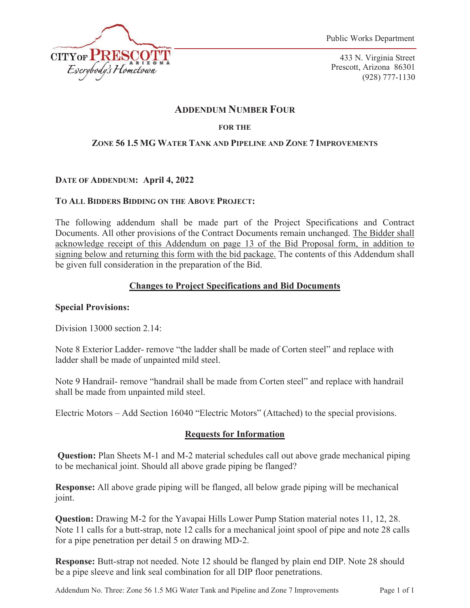

433 N. Virginia Street Prescott, Arizona 86301 (928) 777-1130

# **ADDENDUM NUMBER FOUR**

## **FOR THE**

## **ZONE 56 1.5 MG WATER TANK AND PIPELINE AND ZONE 7 IMPROVEMENTS**

## **DATE OF ADDENDUM: April 4, 2022**

### **TO ALL BIDDERS BIDDING ON THE ABOVE PROJECT:**

The following addendum shall be made part of the Project Specifications and Contract Documents. All other provisions of the Contract Documents remain unchanged. The Bidder shall acknowledge receipt of this Addendum on page 13 of the Bid Proposal form, in addition to signing below and returning this form with the bid package. The contents of this Addendum shall be given full consideration in the preparation of the Bid.

### **Changes to Project Specifications and Bid Documents**

### **Special Provisions:**

Division 13000 section 2.14:

Note 8 Exterior Ladder- remove "the ladder shall be made of Corten steel" and replace with ladder shall be made of unpainted mild steel.

Note 9 Handrail- remove "handrail shall be made from Corten steel" and replace with handrail shall be made from unpainted mild steel.

Electric Motors – Add Section 16040 "Electric Motors" (Attached) to the special provisions.

# **Requests for Information**

**Question:** Plan Sheets M-1 and M-2 material schedules call out above grade mechanical piping to be mechanical joint. Should all above grade piping be flanged?

**Response:** All above grade piping will be flanged, all below grade piping will be mechanical joint.

**Question:** Drawing M-2 for the Yavapai Hills Lower Pump Station material notes 11, 12, 28. Note 11 calls for a butt-strap, note 12 calls for a mechanical joint spool of pipe and note 28 calls for a pipe penetration per detail 5 on drawing MD-2.

**Response:** Butt-strap not needed. Note 12 should be flanged by plain end DIP. Note 28 should be a pipe sleeve and link seal combination for all DIP floor penetrations.

Addendum No. Three: Zone 56 1.5 MG Water Tank and Pipeline and Zone 7 Improvements Page 1 of 1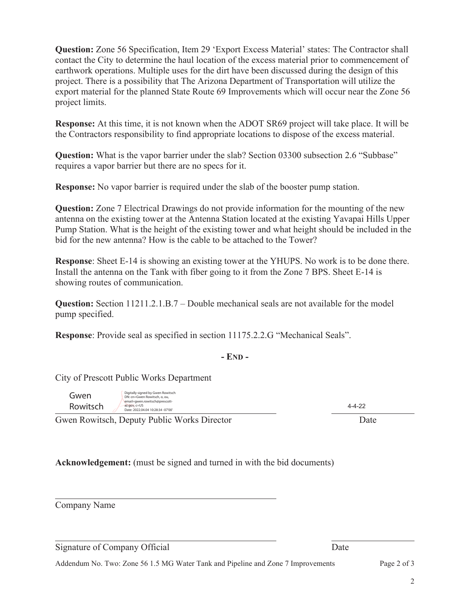**Question:** Zone 56 Specification, Item 29 'Export Excess Material' states: The Contractor shall contact the City to determine the haul location of the excess material prior to commencement of earthwork operations. Multiple uses for the dirt have been discussed during the design of this project. There is a possibility that The Arizona Department of Transportation will utilize the export material for the planned State Route 69 Improvements which will occur near the Zone 56 project limits.

**Response:** At this time, it is not known when the ADOT SR69 project will take place. It will be the Contractors responsibility to find appropriate locations to dispose of the excess material.

**Question:** What is the vapor barrier under the slab? Section 03300 subsection 2.6 "Subbase" requires a vapor barrier but there are no specs for it.

**Response:** No vapor barrier is required under the slab of the booster pump station.

**Question:** Zone 7 Electrical Drawings do not provide information for the mounting of the new antenna on the existing tower at the Antenna Station located at the existing Yavapai Hills Upper Pump Station. What is the height of the existing tower and what height should be included in the bid for the new antenna? How is the cable to be attached to the Tower?

**Response**: Sheet E-14 is showing an existing tower at the YHUPS. No work is to be done there. Install the antenna on the Tank with fiber going to it from the Zone 7 BPS. Sheet E-14 is showing routes of communication.

**Question:** Section 11211.2.1.B.7 – Double mechanical seals are not available for the model pump specified.

**Response**: Provide seal as specified in section 11175.2.2.G "Mechanical Seals".

### **- END -**

City of Prescott Public Works Department

Gwen Rowitsch Digitally signed by Gwen Rowitsch DN: cn=Gwen Rowitsch, o, ou, email=gwen.rowitsch@prescottaz.gov, c=US Date: 2022.04.04 10:28:34 -07'00'

4-4-22

 $\overline{a}$ Gwen Rowitsch, Deputy Public Works Director Date

**Acknowledgement:** (must be signed and turned in with the bid documents)

Company Name

 $\overline{a}$ 

 $\overline{a}$ 

Signature of Company Official Date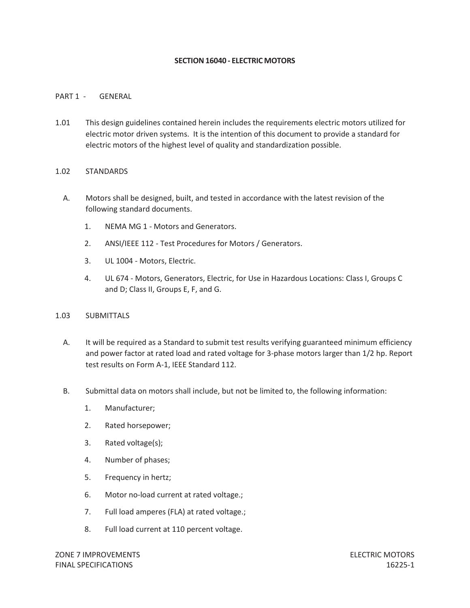#### **SECTION16040 - ELECTRIC MOTORS**

### PART 1 - GENERAL

1.01 This design guidelines contained herein includes the requirements electric motors utilized for electric motor driven systems. It is the intention of this document to provide a standard for electric motors of the highest level of quality and standardization possible.

#### 1.02 STANDARDS

- A. Motors shall be designed, built, and tested in accordance with the latest revision of the following standard documents.
	- 1. NEMA MG 1 Motors and Generators.
	- 2. ANSI/IEEE 112 Test Procedures for Motors / Generators.
	- 3. UL 1004 Motors, Electric.
	- 4. UL 674 Motors, Generators, Electric, for Use in Hazardous Locations: Class I, Groups C and D; Class II, Groups E, F, and G.

#### 1.03 SUBMITTALS

- A. It will be required as a Standard to submit test results verifying guaranteed minimum efficiency and power factor at rated load and rated voltage for 3-phase motors larger than 1/2 hp. Report test results on Form A-1, IEEE Standard 112.
- B. Submittal data on motors shall include, but not be limited to, the following information:
	- 1. Manufacturer;
	- 2. Rated horsepower;
	- 3. Rated voltage(s);
	- 4. Number of phases;
	- 5. Frequency in hertz;
	- 6. Motor no-load current at rated voltage.;
	- 7. Full load amperes (FLA) at rated voltage.;
	- 8. Full load current at 110 percent voltage.

ZONE 7 IMPROVEMENTS ELECTRIC MOTORS FINAL SPECIFICATIONS 16225-1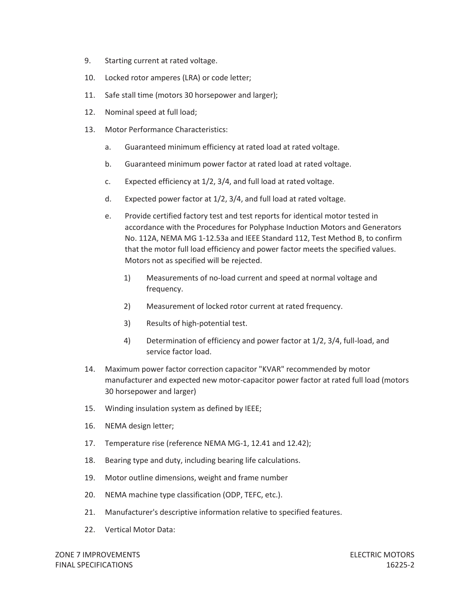- 9. Starting current at rated voltage.
- 10. Locked rotor amperes (LRA) or code letter;
- 11. Safe stall time (motors 30 horsepower and larger);
- 12. Nominal speed at full load;
- 13. Motor Performance Characteristics:
	- a. Guaranteed minimum efficiency at rated load at rated voltage.
	- b. Guaranteed minimum power factor at rated load at rated voltage.
	- c. Expected efficiency at 1/2, 3/4, and full load at rated voltage.
	- d. Expected power factor at 1/2, 3/4, and full load at rated voltage.
	- e. Provide certified factory test and test reports for identical motor tested in accordance with the Procedures for Polyphase Induction Motors and Generators No. 112A, NEMA MG 1-12.53a and IEEE Standard 112, Test Method B, to confirm that the motor full load efficiency and power factor meets the specified values. Motors not as specified will be rejected.
		- 1) Measurements of no-load current and speed at normal voltage and frequency.
		- 2) Measurement of locked rotor current at rated frequency.
		- 3) Results of high-potential test.
		- 4) Determination of efficiency and power factor at 1/2, 3/4, full-load, and service factor load.
- 14. Maximum power factor correction capacitor "KVAR" recommended by motor manufacturer and expected new motor-capacitor power factor at rated full load (motors 30 horsepower and larger)
- 15. Winding insulation system as defined by IEEE;
- 16. NEMA design letter;
- 17. Temperature rise (reference NEMA MG-1, 12.41 and 12.42);
- 18. Bearing type and duty, including bearing life calculations.
- 19. Motor outline dimensions, weight and frame number
- 20. NEMA machine type classification (ODP, TEFC, etc.).
- 21. Manufacturer's descriptive information relative to specified features.
- 22. Vertical Motor Data: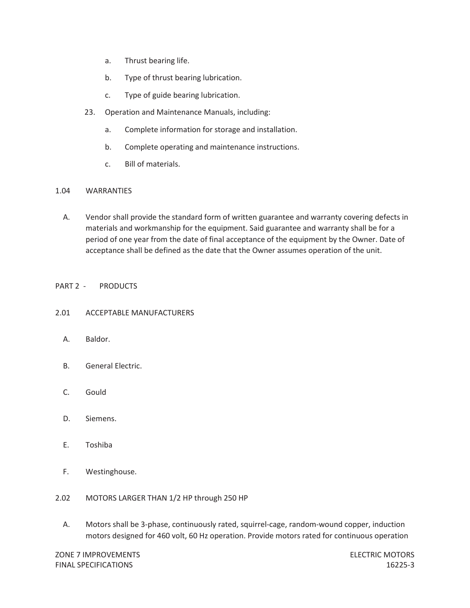- a. Thrust bearing life.
- b. Type of thrust bearing lubrication.
- c. Type of guide bearing lubrication.
- 23. Operation and Maintenance Manuals, including:
	- a. Complete information for storage and installation.
	- b. Complete operating and maintenance instructions.
	- c. Bill of materials.

### 1.04 WARRANTIES

A. Vendor shall provide the standard form of written guarantee and warranty covering defects in materials and workmanship for the equipment. Said guarantee and warranty shall be for a period of one year from the date of final acceptance of the equipment by the Owner. Date of acceptance shall be defined as the date that the Owner assumes operation of the unit.

### PART 2 - PRODUCTS

### 2.01 ACCEPTABLE MANUFACTURERS

- A. Baldor.
- B. General Electric.
- C. Gould
- D. Siemens.
- E. Toshiba
- F. Westinghouse.
- 2.02 MOTORS LARGER THAN 1/2 HP through 250 HP
	- A. Motors shall be 3-phase, continuously rated, squirrel-cage, random-wound copper, induction motors designed for 460 volt, 60 Hz operation. Provide motors rated for continuous operation

ZONE 7 IMPROVEMENTS ELECTRIC MOTORS FINAL SPECIFICATIONS 16225-3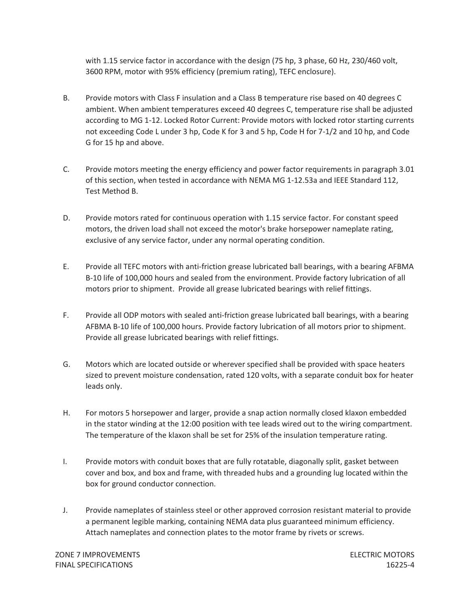with 1.15 service factor in accordance with the design (75 hp, 3 phase, 60 Hz, 230/460 volt, 3600 RPM, motor with 95% efficiency (premium rating), TEFC enclosure).

- B. Provide motors with Class F insulation and a Class B temperature rise based on 40 degrees C ambient. When ambient temperatures exceed 40 degrees C, temperature rise shall be adjusted according to MG 1-12. Locked Rotor Current: Provide motors with locked rotor starting currents not exceeding Code L under 3 hp, Code K for 3 and 5 hp, Code H for 7-1/2 and 10 hp, and Code G for 15 hp and above.
- C. Provide motors meeting the energy efficiency and power factor requirements in paragraph 3.01 of this section, when tested in accordance with NEMA MG 1-12.53a and IEEE Standard 112, Test Method B.
- D. Provide motors rated for continuous operation with 1.15 service factor. For constant speed motors, the driven load shall not exceed the motor's brake horsepower nameplate rating, exclusive of any service factor, under any normal operating condition.
- E. Provide all TEFC motors with anti-friction grease lubricated ball bearings, with a bearing AFBMA B-10 life of 100,000 hours and sealed from the environment. Provide factory lubrication of all motors prior to shipment. Provide all grease lubricated bearings with relief fittings.
- F. Provide all ODP motors with sealed anti-friction grease lubricated ball bearings, with a bearing AFBMA B-10 life of 100,000 hours. Provide factory lubrication of all motors prior to shipment. Provide all grease lubricated bearings with relief fittings.
- G. Motors which are located outside or wherever specified shall be provided with space heaters sized to prevent moisture condensation, rated 120 volts, with a separate conduit box for heater leads only.
- H. For motors 5 horsepower and larger, provide a snap action normally closed klaxon embedded in the stator winding at the 12:00 position with tee leads wired out to the wiring compartment. The temperature of the klaxon shall be set for 25% of the insulation temperature rating.
- I. Provide motors with conduit boxes that are fully rotatable, diagonally split, gasket between cover and box, and box and frame, with threaded hubs and a grounding lug located within the box for ground conductor connection.
- J. Provide nameplates of stainless steel or other approved corrosion resistant material to provide a permanent legible marking, containing NEMA data plus guaranteed minimum efficiency. Attach nameplates and connection plates to the motor frame by rivets or screws.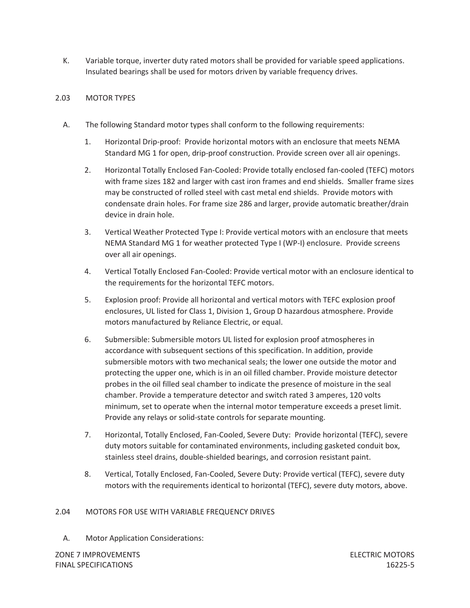K. Variable torque, inverter duty rated motors shall be provided for variable speed applications. Insulated bearings shall be used for motors driven by variable frequency drives.

### 2.03 MOTOR TYPES

- A. The following Standard motor types shall conform to the following requirements:
	- 1. Horizontal Drip-proof: Provide horizontal motors with an enclosure that meets NEMA Standard MG 1 for open, drip-proof construction. Provide screen over all air openings.
	- 2. Horizontal Totally Enclosed Fan-Cooled: Provide totally enclosed fan-cooled (TEFC) motors with frame sizes 182 and larger with cast iron frames and end shields. Smaller frame sizes may be constructed of rolled steel with cast metal end shields. Provide motors with condensate drain holes. For frame size 286 and larger, provide automatic breather/drain device in drain hole.
	- 3. Vertical Weather Protected Type I: Provide vertical motors with an enclosure that meets NEMA Standard MG 1 for weather protected Type I (WP-I) enclosure. Provide screens over all air openings.
	- 4. Vertical Totally Enclosed Fan-Cooled: Provide vertical motor with an enclosure identical to the requirements for the horizontal TEFC motors.
	- 5. Explosion proof: Provide all horizontal and vertical motors with TEFC explosion proof enclosures, UL listed for Class 1, Division 1, Group D hazardous atmosphere. Provide motors manufactured by Reliance Electric, or equal.
	- 6. Submersible: Submersible motors UL listed for explosion proof atmospheres in accordance with subsequent sections of this specification. In addition, provide submersible motors with two mechanical seals; the lower one outside the motor and protecting the upper one, which is in an oil filled chamber. Provide moisture detector probes in the oil filled seal chamber to indicate the presence of moisture in the seal chamber. Provide a temperature detector and switch rated 3 amperes, 120 volts minimum, set to operate when the internal motor temperature exceeds a preset limit. Provide any relays or solid-state controls for separate mounting.
	- 7. Horizontal, Totally Enclosed, Fan-Cooled, Severe Duty: Provide horizontal (TEFC), severe duty motors suitable for contaminated environments, including gasketed conduit box, stainless steel drains, double-shielded bearings, and corrosion resistant paint.
	- 8. Vertical, Totally Enclosed, Fan-Cooled, Severe Duty: Provide vertical (TEFC), severe duty motors with the requirements identical to horizontal (TEFC), severe duty motors, above.

### 2.04 MOTORS FOR USE WITH VARIABLE FREQUENCY DRIVES

A. Motor Application Considerations:

ZONE 7 IMPROVEMENTS ELECTRIC MOTORS FINAL SPECIFICATIONS 16225-5